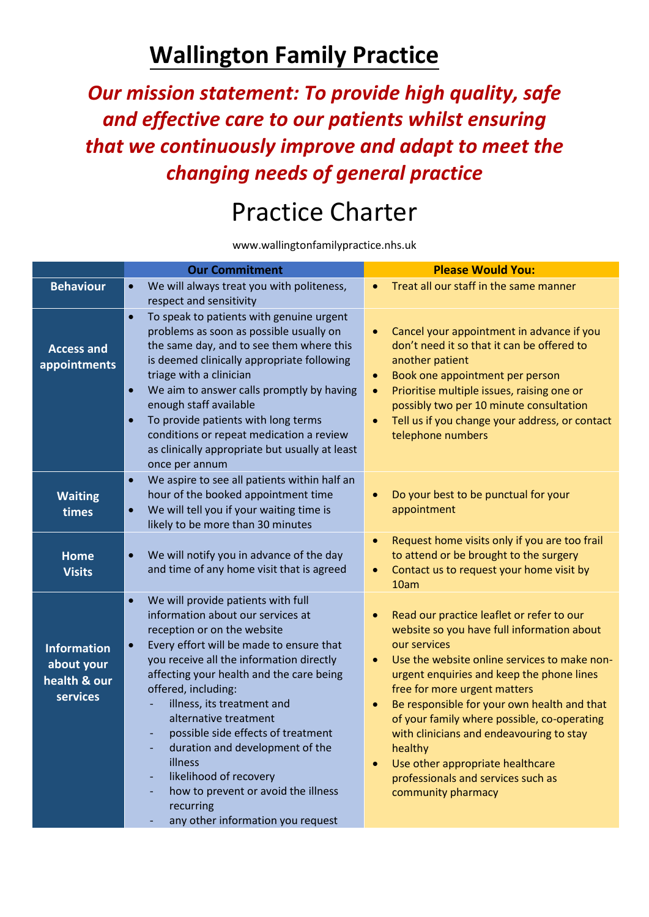## **Wallington Family Practice**

*Our mission statement: To provide high quality, safe and effective care to our patients whilst ensuring that we continuously improve and adapt to meet the changing needs of general practice* 

## Practice Charter

www.wallingtonfamilypractice.nhs.uk

|                                                              | <b>Our Commitment</b>                                                                                                                                                                                                                                                                                                                                                                                                                                                                                                                                                      | <b>Please Would You:</b>                                                                                                                                                                                                                                                                                                                                                                                                                                                                                                         |
|--------------------------------------------------------------|----------------------------------------------------------------------------------------------------------------------------------------------------------------------------------------------------------------------------------------------------------------------------------------------------------------------------------------------------------------------------------------------------------------------------------------------------------------------------------------------------------------------------------------------------------------------------|----------------------------------------------------------------------------------------------------------------------------------------------------------------------------------------------------------------------------------------------------------------------------------------------------------------------------------------------------------------------------------------------------------------------------------------------------------------------------------------------------------------------------------|
| <b>Behaviour</b>                                             | We will always treat you with politeness,<br>$\bullet$<br>respect and sensitivity                                                                                                                                                                                                                                                                                                                                                                                                                                                                                          | Treat all our staff in the same manner<br>$\bullet$                                                                                                                                                                                                                                                                                                                                                                                                                                                                              |
| <b>Access and</b><br>appointments                            | $\bullet$<br>To speak to patients with genuine urgent<br>problems as soon as possible usually on<br>the same day, and to see them where this<br>is deemed clinically appropriate following<br>triage with a clinician<br>$\bullet$<br>We aim to answer calls promptly by having<br>enough staff available<br>To provide patients with long terms<br>$\bullet$<br>conditions or repeat medication a review<br>as clinically appropriate but usually at least<br>once per annum                                                                                              | Cancel your appointment in advance if you<br>$\bullet$<br>don't need it so that it can be offered to<br>another patient<br>Book one appointment per person<br>$\bullet$<br>Prioritise multiple issues, raising one or<br>$\bullet$<br>possibly two per 10 minute consultation<br>Tell us if you change your address, or contact<br>$\bullet$<br>telephone numbers                                                                                                                                                                |
| <b>Waiting</b><br>times                                      | We aspire to see all patients within half an<br>$\bullet$<br>hour of the booked appointment time<br>We will tell you if your waiting time is<br>$\bullet$<br>likely to be more than 30 minutes                                                                                                                                                                                                                                                                                                                                                                             | Do your best to be punctual for your<br>appointment                                                                                                                                                                                                                                                                                                                                                                                                                                                                              |
| <b>Home</b><br><b>Visits</b>                                 | We will notify you in advance of the day<br>$\bullet$<br>and time of any home visit that is agreed                                                                                                                                                                                                                                                                                                                                                                                                                                                                         | Request home visits only if you are too frail<br>$\bullet$<br>to attend or be brought to the surgery<br>Contact us to request your home visit by<br>$\bullet$<br>10am                                                                                                                                                                                                                                                                                                                                                            |
| <b>Information</b><br>about your<br>health & our<br>services | $\bullet$<br>We will provide patients with full<br>information about our services at<br>reception or on the website<br>Every effort will be made to ensure that<br>$\bullet$<br>you receive all the information directly<br>affecting your health and the care being<br>offered, including:<br>illness, its treatment and<br>alternative treatment<br>possible side effects of treatment<br>÷,<br>duration and development of the<br>٠<br>illness<br>likelihood of recovery<br>L,<br>how to prevent or avoid the illness<br>recurring<br>any other information you request | Read our practice leaflet or refer to our<br>website so you have full information about<br>our services<br>Use the website online services to make non-<br>$\bullet$<br>urgent enquiries and keep the phone lines<br>free for more urgent matters<br>Be responsible for your own health and that<br>$\bullet$<br>of your family where possible, co-operating<br>with clinicians and endeavouring to stay<br>healthy<br>Use other appropriate healthcare<br>$\bullet$<br>professionals and services such as<br>community pharmacy |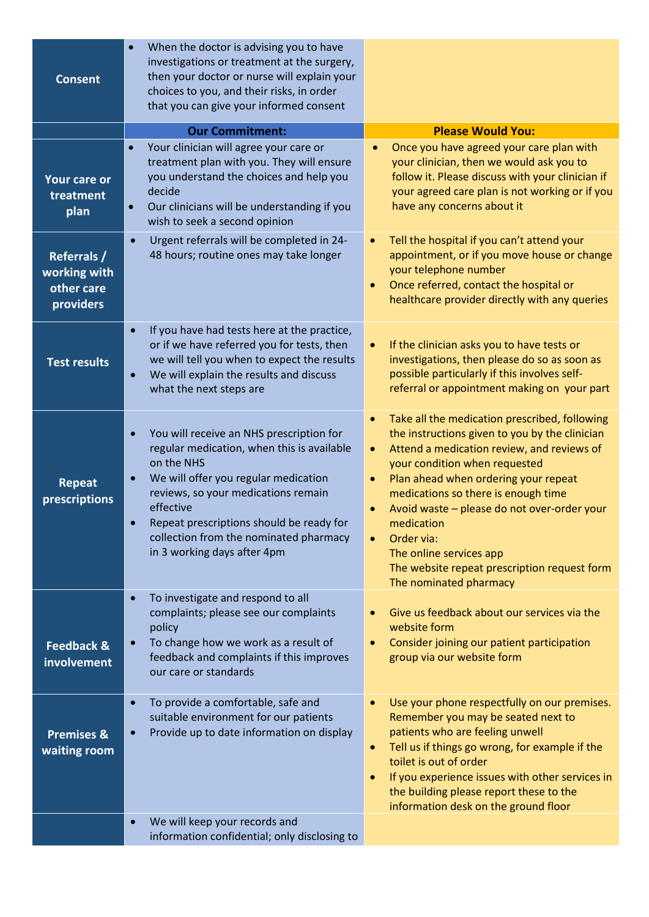| <b>Consent</b>                                                | When the doctor is advising you to have<br>investigations or treatment at the surgery,<br>then your doctor or nurse will explain your<br>choices to you, and their risks, in order<br>that you can give your informed consent                                                                                                                                |                                                                                                                                                                                                                                                                                                                                                                                                                                                                                                   |
|---------------------------------------------------------------|--------------------------------------------------------------------------------------------------------------------------------------------------------------------------------------------------------------------------------------------------------------------------------------------------------------------------------------------------------------|---------------------------------------------------------------------------------------------------------------------------------------------------------------------------------------------------------------------------------------------------------------------------------------------------------------------------------------------------------------------------------------------------------------------------------------------------------------------------------------------------|
|                                                               | <b>Our Commitment:</b>                                                                                                                                                                                                                                                                                                                                       | <b>Please Would You:</b>                                                                                                                                                                                                                                                                                                                                                                                                                                                                          |
| Your care or<br>treatment<br>plan                             | Your clinician will agree your care or<br>$\bullet$<br>treatment plan with you. They will ensure<br>you understand the choices and help you<br>decide<br>Our clinicians will be understanding if you<br>$\bullet$<br>wish to seek a second opinion                                                                                                           | Once you have agreed your care plan with<br>your clinician, then we would ask you to<br>follow it. Please discuss with your clinician if<br>your agreed care plan is not working or if you<br>have any concerns about it                                                                                                                                                                                                                                                                          |
| <b>Referrals /</b><br>working with<br>other care<br>providers | Urgent referrals will be completed in 24-<br>$\bullet$<br>48 hours; routine ones may take longer                                                                                                                                                                                                                                                             | Tell the hospital if you can't attend your<br>$\bullet$<br>appointment, or if you move house or change<br>your telephone number<br>Once referred, contact the hospital or<br>$\bullet$<br>healthcare provider directly with any queries                                                                                                                                                                                                                                                           |
| <b>Test results</b>                                           | If you have had tests here at the practice,<br>$\bullet$<br>or if we have referred you for tests, then<br>we will tell you when to expect the results<br>We will explain the results and discuss<br>$\bullet$<br>what the next steps are                                                                                                                     | If the clinician asks you to have tests or<br>$\bullet$<br>investigations, then please do so as soon as<br>possible particularly if this involves self-<br>referral or appointment making on your part                                                                                                                                                                                                                                                                                            |
| <b>Repeat</b><br>prescriptions                                | You will receive an NHS prescription for<br>$\bullet$<br>regular medication, when this is available<br>on the NHS<br>We will offer you regular medication<br>$\bullet$<br>reviews, so your medications remain<br>effective<br>Repeat prescriptions should be ready for<br>$\bullet$<br>collection from the nominated pharmacy<br>in 3 working days after 4pm | Take all the medication prescribed, following<br>$\bullet$<br>the instructions given to you by the clinician<br>Attend a medication review, and reviews of<br>$\bullet$<br>your condition when requested<br>Plan ahead when ordering your repeat<br>$\bullet$<br>medications so there is enough time<br>Avoid waste - please do not over-order your<br>$\bullet$<br>medication<br>Order via:<br>The online services app<br>The website repeat prescription request form<br>The nominated pharmacy |
| <b>Feedback &amp;</b><br>involvement                          | To investigate and respond to all<br>$\bullet$<br>complaints; please see our complaints<br>policy<br>To change how we work as a result of<br>$\bullet$<br>feedback and complaints if this improves<br>our care or standards                                                                                                                                  | Give us feedback about our services via the<br>$\bullet$<br>website form<br>Consider joining our patient participation<br>$\bullet$<br>group via our website form                                                                                                                                                                                                                                                                                                                                 |
| <b>Premises &amp;</b><br>waiting room                         | To provide a comfortable, safe and<br>$\bullet$<br>suitable environment for our patients<br>Provide up to date information on display<br>$\bullet$                                                                                                                                                                                                           | Use your phone respectfully on our premises.<br>$\bullet$<br>Remember you may be seated next to<br>patients who are feeling unwell<br>Tell us if things go wrong, for example if the<br>$\bullet$<br>toilet is out of order<br>If you experience issues with other services in<br>$\bullet$<br>the building please report these to the<br>information desk on the ground floor                                                                                                                    |
|                                                               | We will keep your records and<br>$\bullet$<br>information confidential; only disclosing to                                                                                                                                                                                                                                                                   |                                                                                                                                                                                                                                                                                                                                                                                                                                                                                                   |